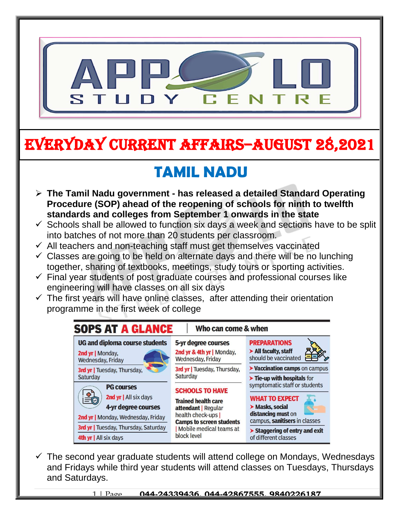

# EVERYDAY CURRENT AFFAIRS–AUGUST 28,2021

# **TAMIL NADU**

- **The Tamil Nadu government - has released a detailed Standard Operating Procedure (SOP) ahead of the reopening of schools for ninth to twelfth standards and colleges from September 1 onwards in the state**
- $\checkmark$  Schools shall be allowed to function six days a week and sections have to be split into batches of not more than 20 students per classroom.
- $\checkmark$  All teachers and non-teaching staff must get themselves vaccinated

-

- $\checkmark$  Classes are going to be held on alternate days and there will be no lunching together, sharing of textbooks, meetings, study tours or sporting activities.
- $\checkmark$  Final year students of post graduate courses and professional courses like engineering will have classes on all six days
- $\checkmark$  The first years will have online classes, after attending their orientation programme in the first week of college



 $\checkmark$  The second year graduate students will attend college on Mondays, Wednesdays and Fridays while third year students will attend classes on Tuesdays, Thursdays and Saturdays.

1 | Page **044-24339436, 044-42867555, 9840226187**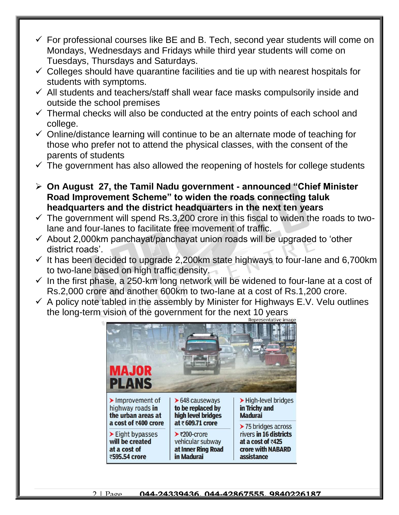- $\checkmark$  For professional courses like BE and B. Tech, second year students will come on Mondays, Wednesdays and Fridays while third year students will come on Tuesdays, Thursdays and Saturdays.
- $\checkmark$  Colleges should have quarantine facilities and tie up with nearest hospitals for students with symptoms.
- $\checkmark$  All students and teachers/staff shall wear face masks compulsorily inside and outside the school premises
- $\checkmark$  Thermal checks will also be conducted at the entry points of each school and college.
- $\checkmark$  Online/distance learning will continue to be an alternate mode of teaching for those who prefer not to attend the physical classes, with the consent of the parents of students
- $\checkmark$  The government has also allowed the reopening of hostels for college students
- **On August 27, the Tamil Nadu government - announced "Chief Minister Road Improvement Scheme" to widen the roads connecting taluk headquarters and the district headquarters in the next ten years**
- $\checkmark$  The government will spend Rs.3,200 crore in this fiscal to widen the roads to twolane and four-lanes to facilitate free movement of traffic.
- $\checkmark$  About 2,000km panchayat/panchayat union roads will be upgraded to 'other district roads'.
- $\checkmark$  It has been decided to upgrade 2,200km state highways to four-lane and 6,700km to two-lane based on high traffic density.
- $\checkmark$  In the first phase, a 250-km long network will be widened to four-lane at a cost of Rs.2,000 crore and another 600km to two-lane at a cost of Rs.1,200 crore.
- $\checkmark$  A policy note tabled in the assembly by Minister for Highways E.V. Velu outlines the long-term vision of the government for the next 10 years



#### 2 | Page **044-24339436, 044-42867555, 9840226187**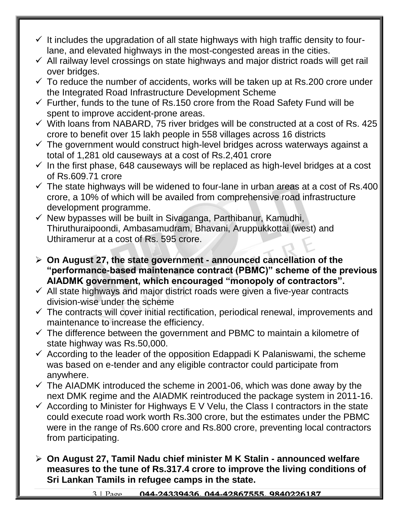- $\checkmark$  It includes the upgradation of all state highways with high traffic density to fourlane, and elevated highways in the most-congested areas in the cities.
- $\checkmark$  All railway level crossings on state highways and major district roads will get rail over bridges.
- $\checkmark$  To reduce the number of accidents, works will be taken up at Rs.200 crore under the Integrated Road Infrastructure Development Scheme
- $\checkmark$  Further, funds to the tune of Rs.150 crore from the Road Safety Fund will be spent to improve accident-prone areas.
- $\checkmark$  With loans from NABARD, 75 river bridges will be constructed at a cost of Rs. 425 crore to benefit over 15 lakh people in 558 villages across 16 districts
- $\checkmark$  The government would construct high-level bridges across waterways against a total of 1,281 old causeways at a cost of Rs.2,401 crore
- $\checkmark$  In the first phase, 648 causeways will be replaced as high-level bridges at a cost of Rs.609.71 crore
- $\checkmark$  The state highways will be widened to four-lane in urban areas at a cost of Rs.400 crore, a 10% of which will be availed from comprehensive road infrastructure development programme.
- $\checkmark$  New bypasses will be built in Sivaganga, Parthibanur, Kamudhi, Thiruthuraipoondi, Ambasamudram, Bhavani, Aruppukkottai (west) and Uthiramerur at a cost of Rs. 595 crore.
- **On August 27, the state government - announced cancellation of the "performance-based maintenance contract (PBMC)" scheme of the previous AIADMK government, which encouraged "monopoly of contractors".**
- $\checkmark$  All state highways and major district roads were given a five-year contracts division-wise under the scheme
- $\checkmark$  The contracts will cover initial rectification, periodical renewal, improvements and maintenance to increase the efficiency.
- $\checkmark$  The difference between the government and PBMC to maintain a kilometre of state highway was Rs.50,000.
- $\checkmark$  According to the leader of the opposition Edappadi K Palaniswami, the scheme was based on e-tender and any eligible contractor could participate from anywhere.
- $\checkmark$  The AIADMK introduced the scheme in 2001-06, which was done away by the next DMK regime and the AIADMK reintroduced the package system in 2011-16.
- $\checkmark$  According to Minister for Highways E V Velu, the Class I contractors in the state could execute road work worth Rs.300 crore, but the estimates under the PBMC were in the range of Rs.600 crore and Rs.800 crore, preventing local contractors from participating.
- **On August 27, Tamil Nadu chief minister M K Stalin - announced welfare measures to the tune of Rs.317.4 crore to improve the living conditions of Sri Lankan Tamils in refugee camps in the state.**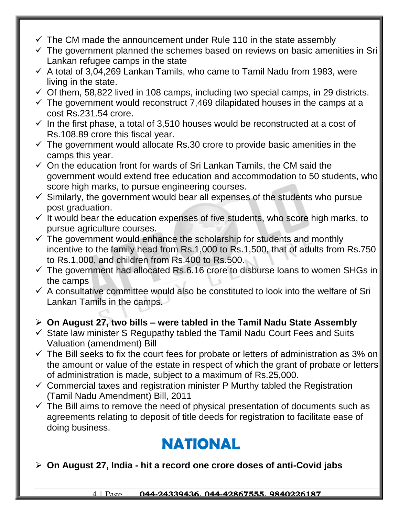- $\checkmark$  The CM made the announcement under Rule 110 in the state assembly
- $\checkmark$  The government planned the schemes based on reviews on basic amenities in Sri Lankan refugee camps in the state
- $\checkmark$  A total of 3,04,269 Lankan Tamils, who came to Tamil Nadu from 1983, were living in the state.
- $\checkmark$  Of them, 58,822 lived in 108 camps, including two special camps, in 29 districts.
- $\checkmark$  The government would reconstruct 7,469 dilapidated houses in the camps at a cost Rs.231.54 crore.
- $\checkmark$  In the first phase, a total of 3,510 houses would be reconstructed at a cost of Rs.108.89 crore this fiscal year.
- $\checkmark$  The government would allocate Rs.30 crore to provide basic amenities in the camps this year.
- $\checkmark$  On the education front for wards of Sri Lankan Tamils, the CM said the government would extend free education and accommodation to 50 students, who score high marks, to pursue engineering courses.
- $\checkmark$  Similarly, the government would bear all expenses of the students who pursue post graduation.
- $\checkmark$  It would bear the education expenses of five students, who score high marks, to pursue agriculture courses.
- $\checkmark$  The government would enhance the scholarship for students and monthly incentive to the family head from Rs.1,000 to Rs.1,500, that of adults from Rs.750 to Rs.1,000, and children from Rs.400 to Rs.500.
- $\checkmark$  The government had allocated Rs.6.16 crore to disburse loans to women SHGs in the camps
- $\checkmark$  A consultative committee would also be constituted to look into the welfare of Sri Lankan Tamils in the camps.

#### **On August 27, two bills – were tabled in the Tamil Nadu State Assembly**

- $\checkmark$  State law minister S Regupathy tabled the Tamil Nadu Court Fees and Suits Valuation (amendment) Bill
- $\checkmark$  The Bill seeks to fix the court fees for probate or letters of administration as 3% on the amount or value of the estate in respect of which the grant of probate or letters of administration is made, subject to a maximum of Rs.25,000.
- $\checkmark$  Commercial taxes and registration minister P Murthy tabled the Registration (Tamil Nadu Amendment) Bill, 2011
- $\checkmark$  The Bill aims to remove the need of physical presentation of documents such as agreements relating to deposit of title deeds for registration to facilitate ease of doing business.

### **NATIONAL**

#### **On August 27, India - hit a record one crore doses of anti-Covid jabs**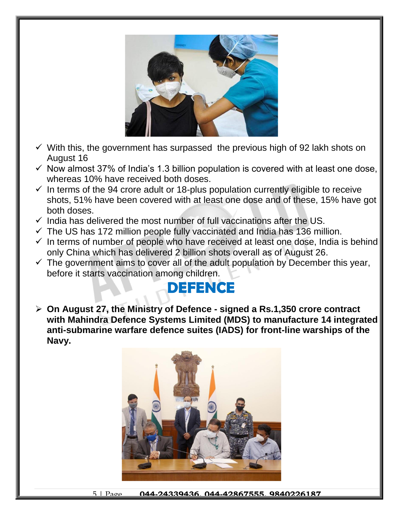

- $\checkmark$  With this, the government has surpassed the previous high of 92 lakh shots on August 16
- $\checkmark$  Now almost 37% of India's 1.3 billion population is covered with at least one dose, whereas 10% have received both doses.
- $\checkmark$  In terms of the 94 crore adult or 18-plus population currently eligible to receive shots, 51% have been covered with at least one dose and of these, 15% have got both doses.
- $\checkmark$  India has delivered the most number of full vaccinations after the US.
- $\checkmark$  The US has 172 million people fully vaccinated and India has 136 million.
- $\checkmark$  In terms of number of people who have received at least one dose, India is behind only China which has delivered 2 billion shots overall as of August 26.
- $\checkmark$  The government aims to cover all of the adult population by December this year, before it starts vaccination among children.

## **DEFENCE**

 **On August 27, the Ministry of Defence - signed a Rs.1,350 crore contract with Mahindra Defence Systems Limited (MDS) to manufacture 14 integrated anti-submarine warfare defence suites (IADS) for front-line warships of the Navy.**



5 | Page **044-24339436, 044-42867555, 9840226187**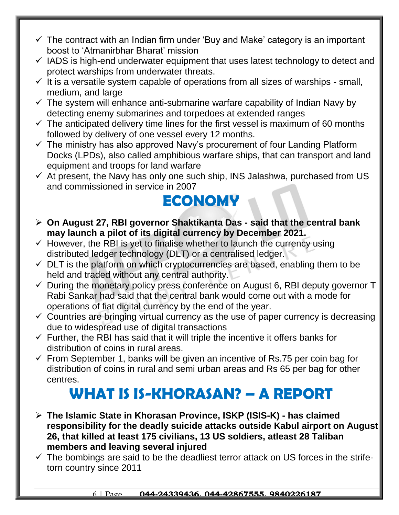- $\checkmark$  The contract with an Indian firm under 'Buy and Make' category is an important boost to 'Atmanirbhar Bharat' mission
- $\checkmark$  IADS is high-end underwater equipment that uses latest technology to detect and protect warships from underwater threats.
- $\checkmark$  It is a versatile system capable of operations from all sizes of warships small, medium, and large
- $\checkmark$  The system will enhance anti-submarine warfare capability of Indian Navy by detecting enemy submarines and torpedoes at extended ranges
- $\checkmark$  The anticipated delivery time lines for the first vessel is maximum of 60 months followed by delivery of one vessel every 12 months.
- $\checkmark$  The ministry has also approved Navy's procurement of four Landing Platform Docks (LPDs), also called amphibious warfare ships, that can transport and land equipment and troops for land warfare
- $\checkmark$  At present, the Navy has only one such ship, INS Jalashwa, purchased from US and commissioned in service in 2007

#### **ECONOMY**

- **On August 27, RBI governor Shaktikanta Das - said that the central bank may launch a pilot of its digital currency by December 2021.**
- $\checkmark$  However, the RBI is yet to finalise whether to launch the currency using distributed ledger technology (DLT) or a centralised ledger.
- $\checkmark$  DLT is the platform on which cryptocurrencies are based, enabling them to be held and traded without any central authority.
- $\checkmark$  During the monetary policy press conference on August 6, RBI deputy governor T Rabi Sankar had said that the central bank would come out with a mode for operations of fiat digital currency by the end of the year.
- $\checkmark$  Countries are bringing virtual currency as the use of paper currency is decreasing due to widespread use of digital transactions
- $\checkmark$  Further, the RBI has said that it will triple the incentive it offers banks for distribution of coins in rural areas.
- $\checkmark$  From September 1, banks will be given an incentive of Rs.75 per coin bag for distribution of coins in rural and semi urban areas and Rs 65 per bag for other centres.

### **WHAT IS IS-KHORASAN? – A REPORT**

- **The Islamic State in Khorasan Province, ISKP (ISIS-K) - has claimed responsibility for the deadly suicide attacks outside Kabul airport on August 26, that killed at least 175 civilians, 13 US soldiers, atleast 28 Taliban members and leaving several injured**
- $\checkmark$  The bombings are said to be the deadliest terror attack on US forces in the strifetorn country since 2011